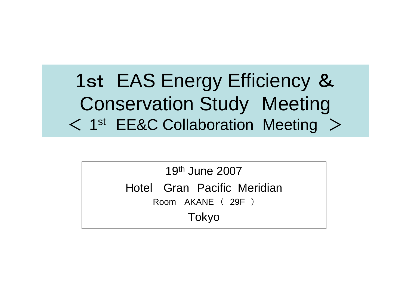1st EAS Energy Efficiency & Conservation Study Meeting < 1st EE&C Collaboration Meeting >

> 19th June 2007Hotel Gran Pacific Meridian Room AKANE ( 29F ) Tokyo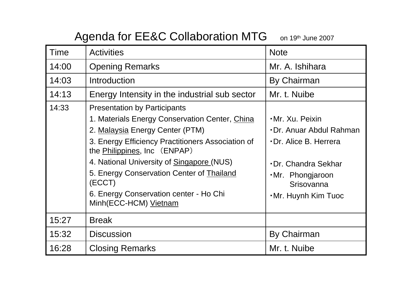## Agenda for EE&C Collaboration MTG on 19th June 2007

| <b>Time</b> | <b>Activities</b>                                                                                                                                                   | <b>Note</b>                                                                 |
|-------------|---------------------------------------------------------------------------------------------------------------------------------------------------------------------|-----------------------------------------------------------------------------|
| 14:00       | <b>Opening Remarks</b>                                                                                                                                              | Mr. A. Ishihara                                                             |
| 14:03       | Introduction                                                                                                                                                        | <b>By Chairman</b>                                                          |
| 14:13       | Energy Intensity in the industrial sub sector                                                                                                                       | Mr. t. Nuibe                                                                |
| 14:33       | <b>Presentation by Participants</b><br>1. Materials Energy Conservation Center, China                                                                               | ·Mr. Xu. Peixin                                                             |
|             | 2. Malaysia Energy Center (PTM)                                                                                                                                     | Dr. Anuar Abdul Rahman                                                      |
|             | 3. Energy Efficiency Practitioners Association of<br>the Philippines, Inc (ENPAP)                                                                                   | Dr. Alice B. Herrera                                                        |
|             | 4. National University of Singapore (NUS)<br>5. Energy Conservation Center of Thailand<br>(ECCT)<br>6. Energy Conservation center - Ho Chi<br>Minh(ECC-HCM) Vietnam | Dr. Chandra Sekhar<br>.Mr. Phongjaroon<br>Srisovanna<br>•Mr. Huynh Kim Tuoc |
| 15:27       | <b>Break</b>                                                                                                                                                        |                                                                             |
| 15:32       | <b>Discussion</b>                                                                                                                                                   | By Chairman                                                                 |
| 16:28       | <b>Closing Remarks</b>                                                                                                                                              | Mr. t. Nuibe                                                                |